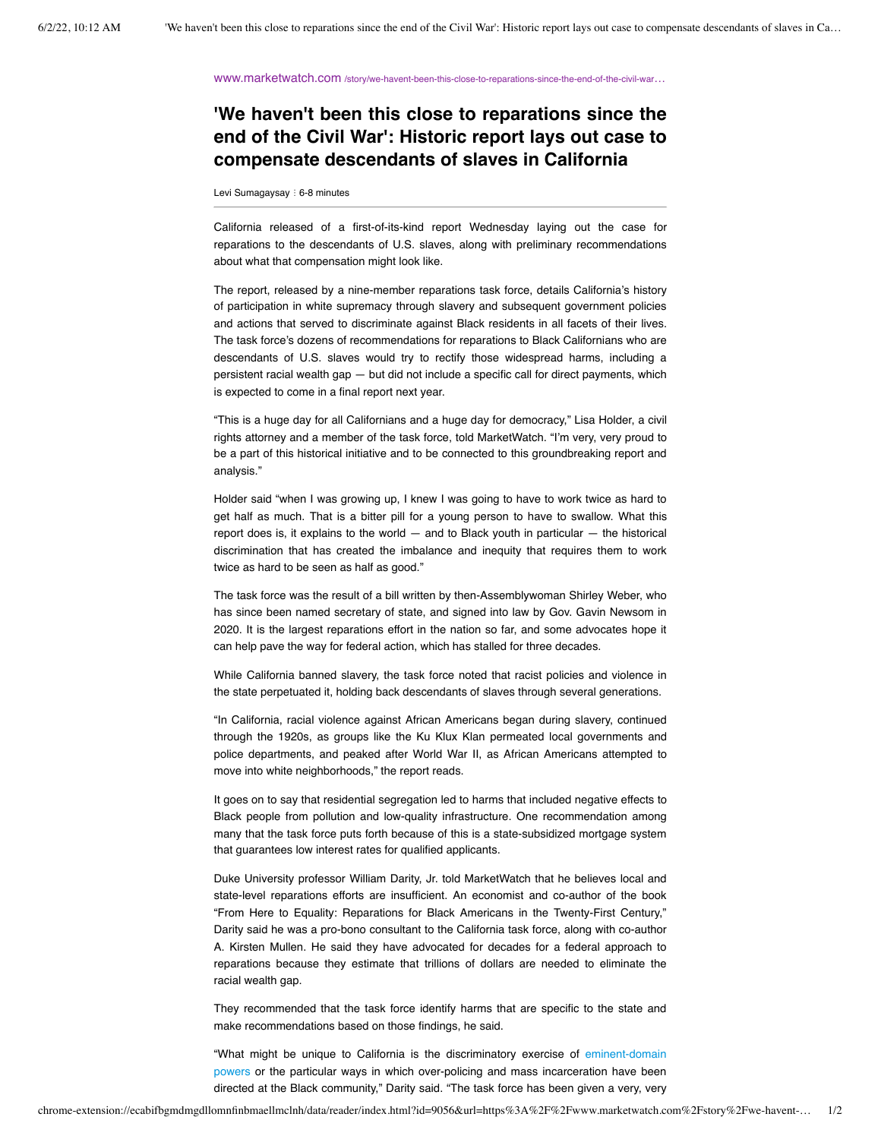www.marketwatch.com [/story/we-havent-been-this-close-to-reparations-since-the-end-of-the-civil-war](https://www.marketwatch.com/story/we-havent-been-this-close-to-reparations-since-the-end-of-the-civil-war-historic-report-lays-out-case-to-compensate-descendants-of-slaves-in-california-11654131040?link=sfmw_tw)…

## **'We haven't been this close to reparations since the end of the Civil War': Historic report lays out case to compensate descendants of slaves in California**

Levi Sumagaysay : 6-8 minutes

California released of a first-of-its-kind report Wednesday laying out the case for reparations to the descendants of U.S. slaves, along with preliminary recommendations about what that compensation might look like.

The report, released by a nine-member reparations task force, details California's history of participation in white supremacy through slavery and subsequent government policies and actions that served to discriminate against Black residents in all facets of their lives. The task force's dozens of recommendations for reparations to Black Californians who are descendants of U.S. slaves would try to rectify those widespread harms, including a persistent racial wealth gap — but did not include a specific call for direct payments, which is expected to come in a final report next year.

"This is a huge day for all Californians and a huge day for democracy," Lisa Holder, a civil rights attorney and a member of the task force, told MarketWatch. "I'm very, very proud to be a part of this historical initiative and to be connected to this groundbreaking report and analysis."

Holder said "when I was growing up, I knew I was going to have to work twice as hard to get half as much. That is a bitter pill for a young person to have to swallow. What this report does is, it explains to the world  $-$  and to Black youth in particular  $-$  the historical discrimination that has created the imbalance and inequity that requires them to work twice as hard to be seen as half as good."

The task force was the result of a bill written by then-Assemblywoman Shirley Weber, who has since been named secretary of state, and signed into law by Gov. Gavin Newsom in 2020. It is the largest reparations effort in the nation so far, and some advocates hope it can help pave the way for federal action, which has stalled for three decades.

While California banned slavery, the task force noted that racist policies and violence in the state perpetuated it, holding back descendants of slaves through several generations.

"In California, racial violence against African Americans began during slavery, continued through the 1920s, as groups like the Ku Klux Klan permeated local governments and police departments, and peaked after World War II, as African Americans attempted to move into white neighborhoods," the report reads.

It goes on to say that residential segregation led to harms that included negative effects to Black people from pollution and low-quality infrastructure. One recommendation among many that the task force puts forth because of this is a state-subsidized mortgage system that guarantees low interest rates for qualified applicants.

Duke University professor William Darity, Jr. told MarketWatch that he believes local and state-level reparations efforts are insufficient. An economist and co-author of the book "From Here to Equality: Reparations for Black Americans in the Twenty-First Century," Darity said he was a pro-bono consultant to the California task force, along with co-author A. Kirsten Mullen. He said they have advocated for decades for a federal approach to reparations because they estimate that trillions of dollars are needed to eliminate the racial wealth gap.

They recommended that the task force identify harms that are specific to the state and make recommendations based on those findings, he said.

["What might be unique to California is the discriminatory exercise of eminent-domain](https://www.marketwatch.com/story/californias-newsom-signs-legislation-to-enable-transfer-of-prime-manhattan-beach-property-to-heirs-of-couple-who-founded-black-resort-a-century-ago-01633036596?mod=article_inline) powers or the particular ways in which over-policing and mass incarceration have been directed at the Black community," Darity said. "The task force has been given a very, very